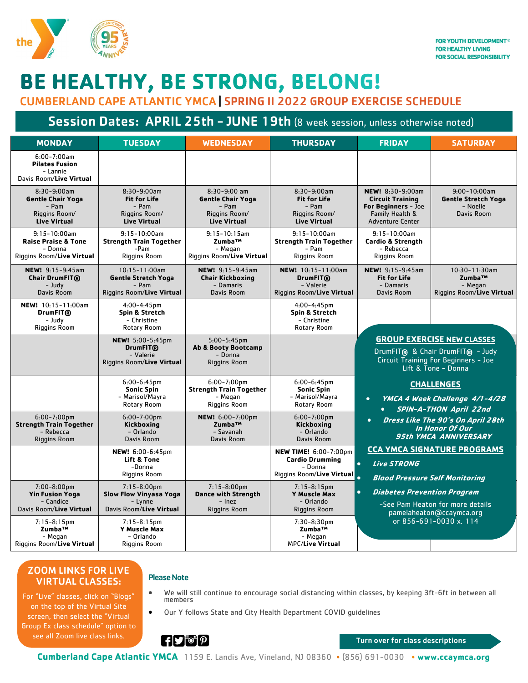

# **BE HEALTHY, BE STRONG, BELONG!**

CUMBERLAND CAPE ATLANTIC YMCA | SPRING II 2022 GROUP EXERCISE SCHEDULE

## Session Dates: APRIL 25th - JUNE 19th (8 week session, unless otherwise noted)

| <b>MONDAY</b>                                                                               | <b>TUESDAY</b>                                                                          | <b>WEDNESDAY</b>                                                                            | <b>THURSDAY</b>                                                                                | <b>FRIDAY</b>                                                                                                                        | <b>SATURDAY</b>                                                           |
|---------------------------------------------------------------------------------------------|-----------------------------------------------------------------------------------------|---------------------------------------------------------------------------------------------|------------------------------------------------------------------------------------------------|--------------------------------------------------------------------------------------------------------------------------------------|---------------------------------------------------------------------------|
| $6:00 - 7:00$ am<br><b>Pilates Fusion</b><br>- Lannie<br>Davis Room/Live Virtual            |                                                                                         |                                                                                             |                                                                                                |                                                                                                                                      |                                                                           |
| $8:30-9:00am$<br><b>Gentle Chair Yoga</b><br>- Pam<br>Riggins Room/<br><b>Live Virtual</b>  | $8:30-9:00am$<br><b>Fit for Life</b><br>- Pam<br>Riggins Room/<br><b>Live Virtual</b>   | $8:30-9:00$ am<br><b>Gentle Chair Yoga</b><br>- Pam<br>Riggins Room/<br><b>Live Virtual</b> | 8:30-9:00am<br><b>Fit for Life</b><br>- Pam<br>Riggins Room/<br><b>Live Virtual</b>            | NEW! 8:30-9:00am<br><b>Circuit Training</b><br>For Beginners - Joe<br>Family Health &<br><b>Adventure Center</b>                     | $9:00 - 10:00$ am<br><b>Gentle Stretch Yoga</b><br>- Noelle<br>Davis Room |
| $9:15 - 10:00$ am<br><b>Raise Praise &amp; Tone</b><br>- Donna<br>Riggins Room/Live Virtual | $9:15 - 10:00$ am<br><b>Strength Train Together</b><br>-Pam<br><b>Riggins Room</b>      | $9:15 - 10:15$ am<br>Zumba™<br>- Megan<br>Riggins Room/Live Virtual                         | $9:15 - 10:00$ am<br><b>Strength Train Together</b><br>- Pam<br>Riggins Room                   | $9:15 - 10:00$ am<br><b>Cardio &amp; Strength</b><br>- Rebecca<br><b>Riggins Room</b>                                                |                                                                           |
| NEW! 9:15-9:45am<br>Chair DrumFIT®<br>- Judy<br>Davis Room                                  | $10:15 - 11:00$ am<br><b>Gentle Stretch Yoga</b><br>- Pam<br>Riggins Room/Live Virtual  | NEW! 9:15-9:45am<br><b>Chair Kickboxing</b><br>- Damaris<br>Davis Room                      | NEW! 10:15-11:00am<br>DrumFIT <sub>®</sub><br>- Valerie<br>Riggins Room/Live Virtual           | NEW! 9:15-9:45am<br><b>Fit for Life</b><br>- Damaris<br>Davis Room                                                                   | $10:30 - 11:30$ am<br>Zumba™<br>- Megan<br>Riggins Room/Live Virtual      |
| NEW! 10:15-11:00am<br>DrumFIT <sub>®</sub><br>- Judy<br><b>Riggins Room</b>                 | $4:00 - 4:45$ pm<br>Spin & Stretch<br>- Christine<br><b>Rotary Room</b>                 |                                                                                             | $4:00 - 4:45$ pm<br>Spin & Stretch<br>- Christine<br>Rotary Room                               |                                                                                                                                      |                                                                           |
|                                                                                             | NEW! 5:00-5:45pm<br><b>DrumFIT®</b><br>- Valerie<br>Riggins Room/Live Virtual           | $5:00 - 5:45$ pm<br><b>Ab &amp; Booty Bootcamp</b><br>- Donna<br>Riggins Room               |                                                                                                | <b>GROUP EXERCISE NEW CLASSES</b><br>DrumFIT® & Chair DrumFIT® - Judy<br>Circuit Training For Beginners - Joe<br>Lift & Tone - Donna |                                                                           |
|                                                                                             | $6:00 - 6:45$ pm<br><b>Sonic Spin</b><br>- Marisol/Mayra<br>Rotary Room                 | $6:00 - 7:00$ pm<br><b>Strength Train Together</b><br>- Megan<br>Riggins Room               | $6:00 - 6:45$ pm<br><b>Sonic Spin</b><br>- Marisol/Mayra<br>Rotary Room                        | $\bullet$                                                                                                                            | <b>CHALLENGES</b><br>YMCA 4 Week Challenge 4/1-4/28                       |
| $6:00 - 7:00$ pm<br><b>Strength Train Together</b><br>- Rebecca<br><b>Riggins Room</b>      | $6:00 - 7:00$ pm<br>Kickboxing<br>- Orlando<br>Davis Room                               | NEW! 6:00-7:00pm<br>Zumba™<br>- Savanah<br>Davis Room                                       | $6:00 - 7:00$ pm<br>Kickboxing<br>- Orlando<br>Davis Room                                      | <b>SPIN-A-THON April 22nd</b><br>Dress Like The 90's On April 28th<br>$\bullet$<br>In Honor Of Our<br><b>95th YMCA ANNIVERSARY</b>   |                                                                           |
|                                                                                             | NEW! 6:00-6:45pm<br><b>Lift &amp; Tone</b><br>-Donna<br><b>Riggins Room</b>             |                                                                                             | <b>NEW TIME!</b> 6:00-7:00pm<br><b>Cardio Drumming</b><br>- Donna<br>Riggins Room/Live Virtual | $\bullet$<br><b>Live STRONG</b><br><b>Blood Pressure Self Monitoring</b>                                                             | <b>CCA YMCA SIGNATURE PROGRAMS</b>                                        |
| $7:00 - 8:00$ pm<br><b>Yin Fusion Yoga</b><br>- Candice<br>Davis Room/Live Virtual          | $7:15 - 8:00$ pm<br><b>Slow Flow Vinyasa Yoga</b><br>- Lynne<br>Davis Room/Live Virtual | $7:15-8:00$ pm<br><b>Dance with Strength</b><br>- Inez<br><b>Riggins Room</b>               | $7:15 - 8:15$ pm<br><b>Y Muscle Max</b><br>- Orlando<br><b>Riggins Room</b>                    | <b>Diabetes Prevention Program</b><br>$\bullet$<br>-See Pam Heaton for more details<br>pamelaheaton@ccaymca.org                      |                                                                           |
| $7:15-8:15$ pm<br>Zumba <sup>TM</sup><br>- Megan<br>Riggins Room/Live Virtual               | $7:15-8:15$ pm<br><b>Y Muscle Max</b><br>- Orlando<br>Riggins Room                      |                                                                                             | $7:30-8:30$ pm<br>Zumba™<br>- Megan<br><b>MPC/Live Virtual</b>                                 |                                                                                                                                      | or 856-691-0030 x. 114                                                    |

### ZOOM LINKS FOR LIVE VIRTUAL CLASSES:

#### For "Live" classes, click on "Blogs" on the top of the Virtual Site screen, then select the "Virtual Group Ex class schedule" option to see all Zoom live class links.

## Please Note

- We will still continue to encourage social distancing within classes, by keeping 3ft-6ft in between all members
- Our Y follows State and City Health Department COVID guidelines

 $\mathbf{H}$   $\bullet$   $\mathbf{P}$ 

Turn over for class descriptions

**Cumberland Cape Atlantic YMCA** 1159 E. Landis Ave, Vineland, NJ 08360 • (856) 691-0030 • **www.ccaymca.org**